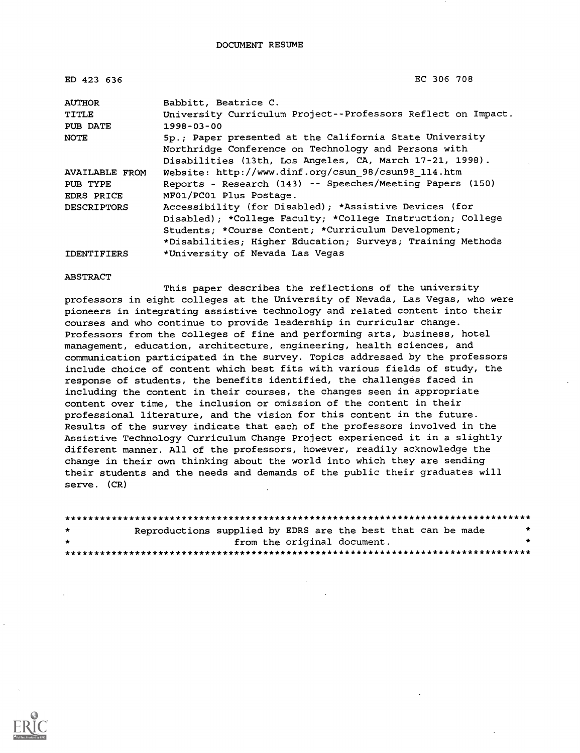| ED 423 636            | EC 306 708                                                   |
|-----------------------|--------------------------------------------------------------|
| <b>AUTHOR</b>         | Babbitt, Beatrice C.                                         |
| TITLE                 | University Curriculum Project--Professors Reflect on Impact. |
| PUB DATE              | $1998 - 03 - 00$                                             |
| <b>NOTE</b>           | 5p.; Paper presented at the California State University      |
|                       | Northridge Conference on Technology and Persons with         |
|                       | Disabilities (13th, Los Angeles, CA, March 17-21, 1998).     |
| <b>AVAILABLE FROM</b> | Website: http://www.dinf.org/csun 98/csun98 114.htm          |
| PUB TYPE              | Reports - Research (143) -- Speeches/Meeting Papers (150)    |
| EDRS PRICE            | MF01/PC01 Plus Postage.                                      |
| <b>DESCRIPTORS</b>    | Accessibility (for Disabled); *Assistive Devices (for        |
|                       | Disabled); *College Faculty; *College Instruction; College   |
|                       | Students; *Course Content; *Curriculum Development;          |
|                       | *Disabilities; Higher Education; Surveys; Training Methods   |
| <b>IDENTIFIERS</b>    | *University of Nevada Las Vegas                              |

#### ABSTRACT

This paper describes the reflections of the university professors in eight colleges at the University of Nevada, Las Vegas, who were pioneers in integrating assistive technology and related content into their courses and who continue to provide leadership in curricular change. Professors from the colleges of fine and performing arts, business, hotel management, education, architecture, engineering, health sciences, and communication participated in the survey. Topics addressed by the professors include choice of content which best fits with various fields of study, the response of students, the benefits identified, the challenges faced in including the content in their courses, the changes seen in appropriate content over time, the inclusion or omission of the content in their professional literature, and the vision for this content in the future. Results of the survey indicate that each of the professors involved in the Assistive Technology Curriculum Change Project experienced it in a slightly different manner. All of the professors, however, readily acknowledge the change in their own thinking about the world into which they are sending their students and the needs and demands of the public their graduates will serve. (CR)

| $\star$      | Reproductions supplied by EDRS are the best that can be made |  |  |                             | * |
|--------------|--------------------------------------------------------------|--|--|-----------------------------|---|
| $\mathbf{r}$ |                                                              |  |  | from the original document. | * |
|              |                                                              |  |  |                             |   |

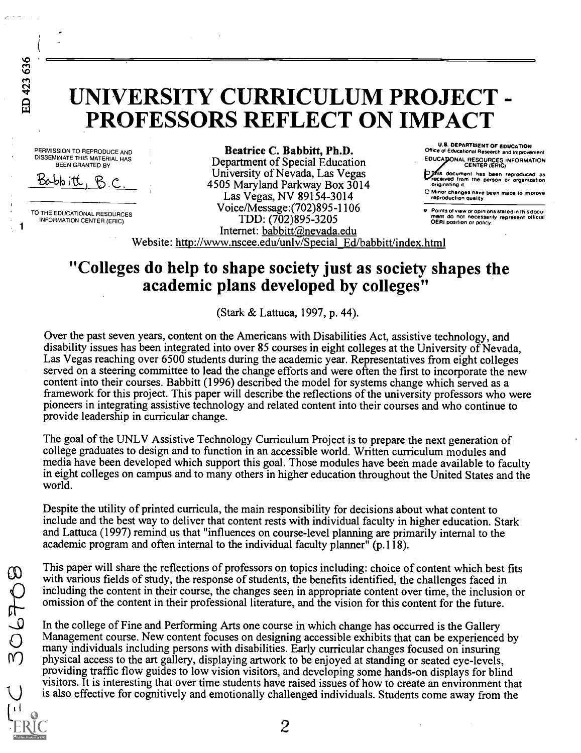ED 423 636

1

# UNIVERSITY CURRICULUM PROJECT - PROFESSORS REFLECT ON IMPACT

PERMISSION TO REPRODUCE AND DISSEMINATE THIS MATERIAL HAS BEEN GRANTED BY

Babbitt, B.C

TO THE EDUCATIONAL RESOURCES INFORMATION CENTER (ERIC)

Beatrice C. Babbitt, Ph.D. Department of Special Education University of Nevada, Las Vegas 4505 Maryland Parkway Box 3014 Las Vegas, NV 89154-3014 Voice/Message:(702)895-1106 TDD: (702)895-3205 Internet: babbitt@nevada.edu

U.S. DEPARTMENT OF EDUCATION Office of Educational Research and Improvement EDUCAJIONAL RESOURCES INFORMATION CENTER (ERIC)

**is document has been reproduced as economic from the person or organization** originating it.

0 Minor changes have been made to improve reproduction Quality.

e : Points of view or opinions stated in this docu-<br>ment: do: not: necessarily: represent: official<br>OERI position or policy.

Website: http://www.nscee.edu/unlv/Special Ed/babbitt/index.html

# "Colleges do help to shape society just as society shapes the academic plans developed by colleges"

(Stark & Lattuca, 1997, p. 44).

Over the past seven years, content on the Americans with Disabilities Act, assistive technology, and disability issues has been integrated into over 85 courses in eight colleges at the University of Nevada, Las Vegas reaching over 6500 students during the academic year. Representatives from eight colleges served on a steering committee to lead the change efforts and were often the first to incorporate the new content into their courses. Babbitt (1996) described the model for systems change which served as a framework for this project. This paper will describe the reflections of the university professors who were pioneers in integrating assistive technology and related content into their courses and who continue to provide leadership in curricular change.

The goal of the UNLV Assistive Technology Curriculum Project is to prepare the next generation of college graduates to design and to function in an accessible world. Written curriculum modules and media have been developed which support this goal. Those modules have been made available to faculty in eight colleges on campus and to many others in higher education throughout the United States and the world.

Despite the utility of printed curricula, the main responsibility for decisions about what content to include and the best way to deliver that content rests with individual faculty in higher education. Stark and Lattuca (1997) remind us that "influences on course-level planning are primarily internal to the academic program and often internal to the individual faculty planner"  $(p.118)$ .

with various fields of study, the response of students, the benefits identified, the challenges faced in This paper will share the reflections of professors on topics including: choice of content which best fits including the content in their course, the changes seen in appropriate content over time, the inclusion or omission of the content in their professional literature, and the vision for this content for the future.

In the college of Fine and Performing Arts one course in which change has occurred is the Gallery Management course. New content focuses on designing accessible exhibits that can be experienced by many individuals including persons with disabilities. Early curricular changes focused on insuring physical access to the art gallery, displaying artwork to be enjoyed at standing or seated eye-levels, providing traffic flow guides to low vision visitors, and developing some hands-on displays for blind visitors. It is interesting that over time students have raised issues of how to create an environment that is also effective for cognitively and emotionally challenged individuals. Students come away from the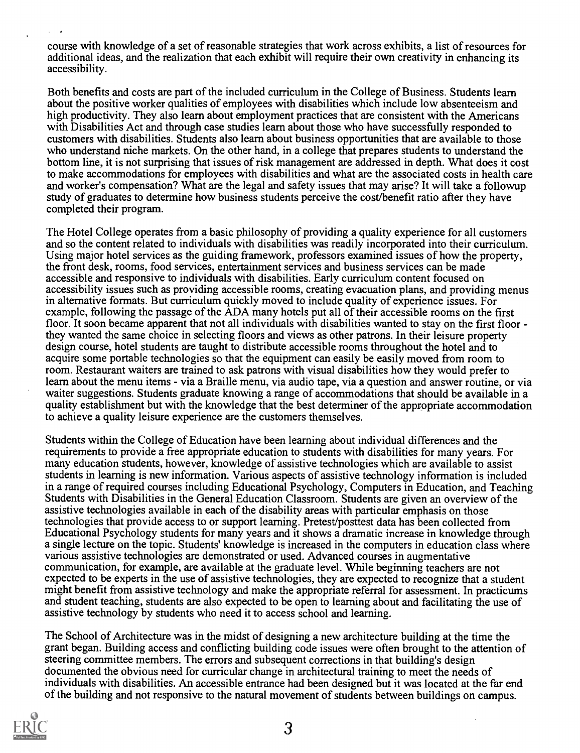course with knowledge of a set of reasonable strategies that work across exhibits, a list of resources for additional ideas, and the realization that each exhibit will require their own creativity in enhancing its accessibility.

Both benefits and costs are part of the included curriculum in the College of Business. Students learn about the positive worker qualities of employees with disabilities which include low absenteeism and high productivity. They also learn about employment practices that are consistent with the Americans with Disabilities Act and through case studies learn about those who have successfully responded to customers with disabilities. Students also learn about business opportunities that are available to those who understand niche markets. On the other hand, in a college that prepares students to understand the bottom line, it is not surprising that issues of risk management are addressed in depth. What does it cost to make accommodations for employees with disabilities and what are the associated costs in health care and worker's compensation? What are the legal and safety issues that may arise? It will take a followup study of graduates to determine how business students perceive the cost/benefit ratio after they have completed their program.

The Hotel College operates from a basic philosophy of providing a quality experience for all customers and so the content related to individuals with disabilities was readily incorporated into their curriculum. Using major hotel services as the guiding framework, professors examined issues of how the property, the front desk, rooms, food services, entertainment services and business services can be made accessible and responsive to individuals with disabilities. Early curriculum content focused on accessibility issues such as providing accessible rooms, creating evacuation plans, and providing menus in alternative formats. But curriculum quickly moved to include quality of experience issues. For example, following the passage of the ADA many hotels put all of their accessible rooms on the first floor. It soon became apparent that not all individuals with disabilities wanted to stay on the first floor - they wanted the same choice in selecting floors and views as other patrons. In their leisure property design course, hotel students are taught to distribute accessible rooms throughout the hotel and to acquire some portable technologies so that the equipment can easily be easily moved from room to room. Restaurant waiters are trained to ask patrons with visual disabilities how they would prefer to learn about the menu items - via a Braille menu, via audio tape, via a question and answer routine, or via waiter suggestions. Students graduate knowing a range of accommodations that should be available in a quality establishment but with the knowledge that the best determiner of the appropriate accommodation to achieve a quality leisure experience are the customers themselves.

Students within the College of Education have been learning about individual differences and the requirements to provide a free appropriate education to students with disabilities for many years. For many education students, however, knowledge of assistive technologies which are available to assist students in learning is new information. Various aspects of assistive technology information is included in a range of required courses including Educational Psychology, Computers in Education, and Teaching Students with Disabilities in the General Education Classroom. Students are given an overview of the assistive technologies available in each of the disability areas with particular emphasis on those technologies that provide access to or support learning. Pretest/posttest data has been collected from Educational Psychology students for many years and it shows a dramatic increase in knowledge through a single lecture on the topic. Students' knowledge is increased in the computers in education class where various assistive technologies are demonstrated or used. Advanced courses in augmentative communication, for example, are available at the graduate level. While beginning teachers are not expected to be experts in the use of assistive technologies, they are expected to recognize that a student might benefit from assistive technology and make the appropriate referral for assessment. In practicums and student teaching, students are also expected to be open to learning about and facilitating the use of assistive technology by students who need it to access school and learning.

The School of Architecture was in the midst of designing a new architecture building at the time the grant began. Building access and conflicting building code issues were often brought to the attention of steering committee members. The errors and subsequent corrections in that building's design documented the obvious need for curricular change in architectural training to meet the needs of individuals with disabilities. An accessible entrance had been designed but it was located at the far end of the building and not responsive to the natural movement of students between buildings on campus.

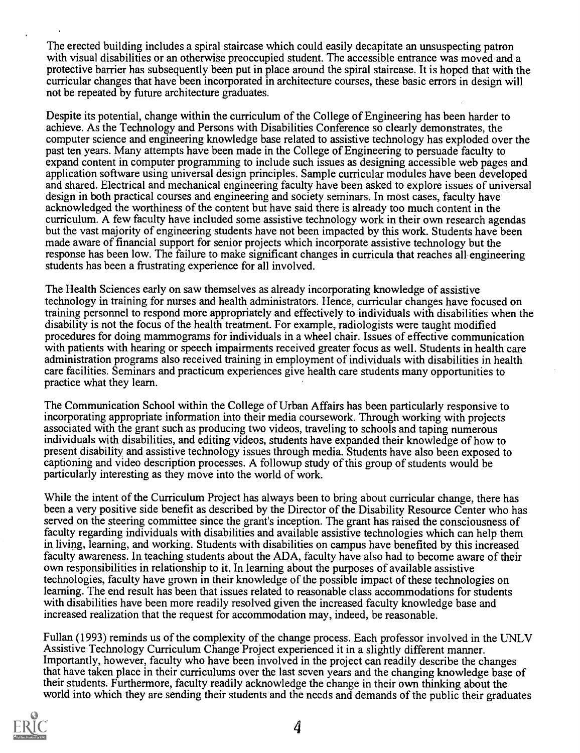The erected building includes a spiral staircase which could easily decapitate an unsuspecting patron with visual disabilities or an otherwise preoccupied student. The accessible entrance was moved and a protective barrier has subsequently been put in place around the spiral staircase. It is hoped that with the curricular changes that have been incorporated in architecture courses, these basic errors in design will not be repeated by future architecture graduates.

Despite its potential, change within the curriculum of the College of Engineering has been harder to achieve. As the Technology and Persons with Disabilities Conference so clearly demonstrates, the computer science and engineering knowledge base related to assistive technology has exploded over the past ten years. Many attempts have been made in the College of Engineering to persuade faculty to expand content in computer programming to include such issues as designing accessible web pages and application software using universal design principles. Sample curricular modules have been developed and shared. Electrical and mechanical engineering faculty have been asked to explore issues of universal design in both practical courses and engineering and society seminars. In most cases, faculty have acknowledged the worthiness of the content but have said there is already too much content in the curriculum. A few faculty have included some assistive technology work in their own research agendas but the vast majority of engineering students have not been impacted by this work. Students have been made aware of financial support for senior projects which incorporate assistive technology but the response has been low. The failure to make significant changes in curricula that reaches all engineering students has been a frustrating experience for all involved.

The Health Sciences early on saw themselves as already incorporating knowledge of assistive technology in training for nurses and health administrators. Hence, curricular changes have focused on training personnel to respond more appropriately and effectively to individuals with disabilities when the disability is not the focus of the health treatment. For example, radiologists were taught modified procedures for doing mammograms for individuals in a wheel chair. Issues of effective communication with patients with hearing or speech impairments received greater focus as well. Students in health care administration programs also received training in employment of individuals with disabilities in health care facilities. Seminars and practicum experiences give health care students many opportunities to practice what they learn.

The Communication School within the College of Urban Affairs has been particularly responsive to incorporating appropriate information into their media coursework. Through working with projects associated with the grant such as producing two videos, traveling to schools and taping numerous individuals with disabilities, and editing videos, students have expanded their knowledge of how to present disability and assistive technology issues through media. Students have also been exposed to captioning and video description processes. A followup study of this group of students would be particularly interesting as they move into the world of work.

While the intent of the Curriculum Project has always been to bring about curricular change, there has been a very positive side benefit as described by the Director of the Disability Resource Center who has served on the steering committee since the grant's inception. The grant has raised the consciousness of faculty regarding individuals with disabilities and available assistive technologies which can help them in living, learning, and working. Students with disabilities on campus have benefited by this increased faculty awareness. In teaching students about the ADA, faculty have also had to become aware of their own responsibilities in relationship to it. In learning about the purposes of available assistive technologies, faculty have grown in their knowledge of the possible impact of these technologies on learning. The end result has been that issues related to reasonable class accommodations for students with disabilities have been more readily resolved given the increased faculty knowledge base and increased realization that the request for accommodation may, indeed, be reasonable.

Fullan (1993) reminds us of the complexity of the change process. Each professor involved in the UNLV Assistive Technology Curriculum Change Project experienced it in a slightly different manner. Importantly, however, faculty who have been involved in the project can readily describe the changes that have taken place in their curriculums over the last seven years and the changing knowledge base of their students. Furthermore, faculty readily acknowledge the change in their own thinking about the world into which they are sending their students and the needs and demands of the public their graduates

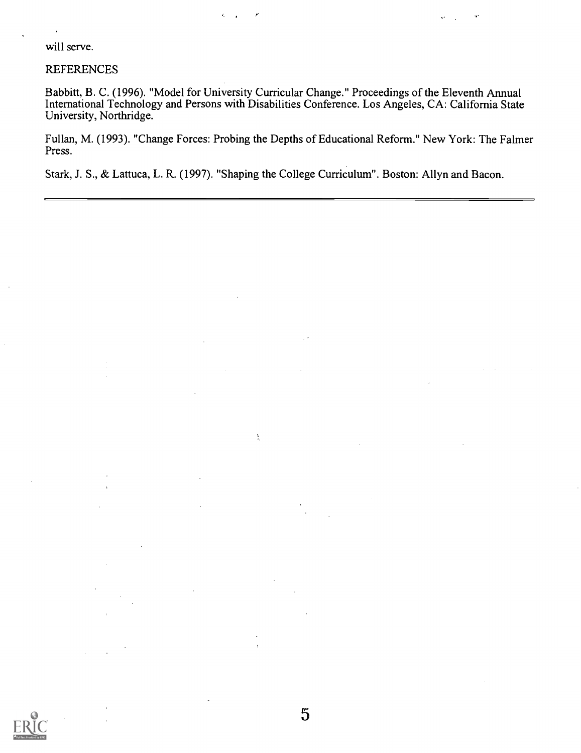will serve.

### REFERENCES

Babbitt, B. C. (1996). "Model for University Curricular Change." Proceedings of the Eleventh Annual International Technology and Persons with Disabilities Conference. Los Angeles, CA: California State University, Northridge.

Fullan, M. (1993). "Change Forces: Probing the Depths of Educational Reform." New York: The Falmer Press.

5

Stark, J. S., & Lattuca, L. R. (1997). "Shaping the College Curriculum". Boston: Allyn and Bacon.

 $\mathbf{I}$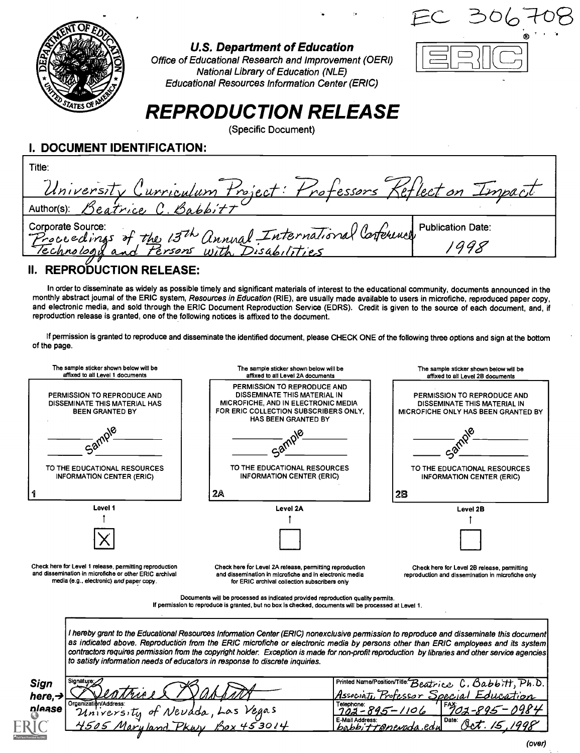

## U.S. Department of Education

## Office of Educational Research and Improvement (OERI) National Library of Education (NLE) Educational Resources Information Center (ERIC)

# REPRODUCTION RELEASE

(Specific Document)

I. DOCUMENT IDENTIFICATION:

| Title:                                                                       |                          |
|------------------------------------------------------------------------------|--------------------------|
| University Curriculum Project: Professors Keflect on Impact                  |                          |
| Author(s): Beatrice C. Babbitt                                               |                          |
|                                                                              | <b>Publication Date:</b> |
| Corporate Source:<br>Proceedings of the 13th Annual International Conference |                          |
|                                                                              |                          |

# II. REPRODUCTION RELEASE:

In order to disseminate as widely as possible timely and significant materials of interest to the educational community, documents announced in the monthly abstract journal of the ERIC system, Resources in Education (RIE), are usually made available to users in microfiche, reproduced paper copy, and electronic media, and sold through the ERIC Document Reproduction Service (EDRS). Credit is given to the source of each document, and, if reproduction release is granted, one of the following notices is affixed to the document.

If permission is granted to reproduce and disseminate the identified document, please CHECK ONE of the following three options and sign at the bottom of the page.



| Sign   | ' Signature: ∕        |                                   | $\left $ Printed Name/Position/Title: $B$ eatrice $C$ , $B$ abbitt, $Ph.D.$     |
|--------|-----------------------|-----------------------------------|---------------------------------------------------------------------------------|
| here,→ | seatrices             |                                   | Special Education<br>Professor,<br>Associati.                                   |
| please | Organization/Address: | University of Neudda, Las Vegas   | $11$ $154702 - 895 - 09841$<br>Telephone:<br>1101.                              |
| w      |                       | Maryland<br>PEAV<br>$\frac{1}{2}$ | E-Mail Address:<br>! Date:<br>1998<br>Ic $\mathcal{J}$ .<br>babbittenerada.edul |
|        |                       |                                   |                                                                                 |